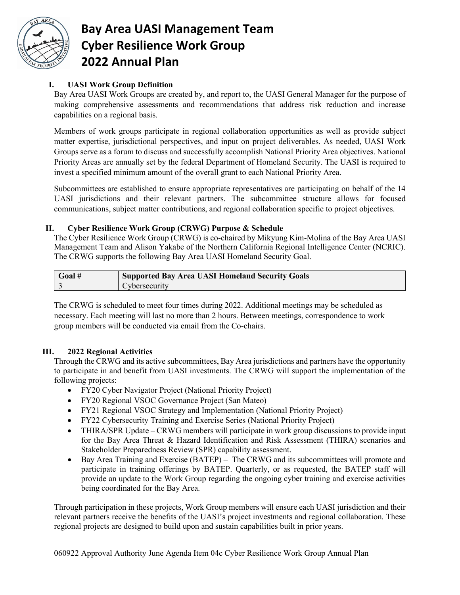

# **Bay Area UASI Management Team Cyber Resilience Work Group 2022 Annual Plan**

## **I. UASI Work Group Definition**

Bay Area UASI Work Groups are created by, and report to, the UASI General Manager for the purpose of making comprehensive assessments and recommendations that address risk reduction and increase capabilities on a regional basis.

Members of work groups participate in regional collaboration opportunities as well as provide subject matter expertise, jurisdictional perspectives, and input on project deliverables. As needed, UASI Work Groups serve as a forum to discuss and successfully accomplish National Priority Area objectives. National Priority Areas are annually set by the federal Department of Homeland Security. The UASI is required to invest a specified minimum amount of the overall grant to each National Priority Area.

Subcommittees are established to ensure appropriate representatives are participating on behalf of the 14 UASI jurisdictions and their relevant partners. The subcommittee structure allows for focused communications, subject matter contributions, and regional collaboration specific to project objectives.

#### **II. Cyber Resilience Work Group (CRWG) Purpose & Schedule**

The Cyber Resilience Work Group (CRWG) is co-chaired by Mikyung Kim-Molina of the Bay Area UASI Management Team and Alison Yakabe of the Northern California Regional Intelligence Center (NCRIC). The CRWG supports the following Bay Area UASI Homeland Security Goal.

| Goal | <b>Supported Bay Area UASI Homeland Security Goals</b> |
|------|--------------------------------------------------------|
|      | <b>Cybersecurity</b>                                   |

The CRWG is scheduled to meet four times during 2022. Additional meetings may be scheduled as necessary. Each meeting will last no more than 2 hours. Between meetings, correspondence to work group members will be conducted via email from the Co-chairs.

### **III. 2022 Regional Activities**

Through the CRWG and its active subcommittees, Bay Area jurisdictions and partners have the opportunity to participate in and benefit from UASI investments. The CRWG will support the implementation of the following projects:

- FY20 Cyber Navigator Project (National Priority Project)
- FY20 Regional VSOC Governance Project (San Mateo)
- FY21 Regional VSOC Strategy and Implementation (National Priority Project)
- FY22 Cybersecurity Training and Exercise Series (National Priority Project)
- THIRA/SPR Update CRWG members will participate in work group discussions to provide input for the Bay Area Threat & Hazard Identification and Risk Assessment (THIRA) scenarios and Stakeholder Preparedness Review (SPR) capability assessment.
- Bay Area Training and Exercise (BATEP) The CRWG and its subcommittees will promote and participate in training offerings by BATEP. Quarterly, or as requested, the BATEP staff will provide an update to the Work Group regarding the ongoing cyber training and exercise activities being coordinated for the Bay Area.

Through participation in these projects, Work Group members will ensure each UASI jurisdiction and their relevant partners receive the benefits of the UASI's project investments and regional collaboration. These regional projects are designed to build upon and sustain capabilities built in prior years.